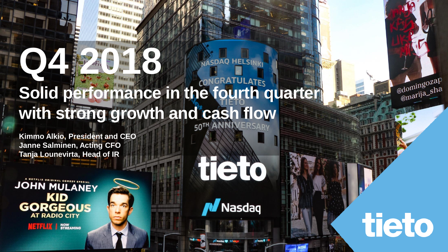### **Q4 2018 GRATULATFS Solid performance in the fourth quarter with strong growth and cash flow**

**Kimmo Alkio, President and CEO Janne Salminen, Acting CFO Tanja Lounevirta, Head of IR**



© Tieto Corporation

Nasdaq

tieto

**NASDAQ HELSINKI** 

tieto

 $\int$ 

adomingozap

@domingozer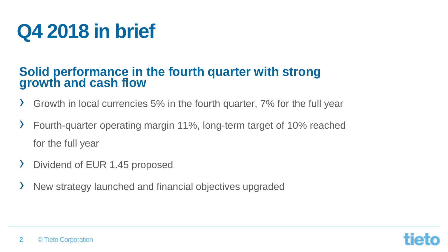### **Q4 2018 in brief**

### **Solid performance in the fourth quarter with strong growth and cash flow**

- › Growth in local currencies 5% in the fourth quarter, 7% for the full year
- › Fourth-quarter operating margin 11%, long-term target of 10% reached for the full year
- › Dividend of EUR 1.45 proposed
- New strategy launched and financial objectives upgraded

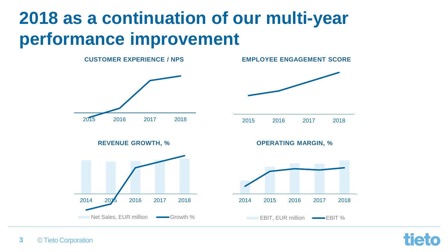### **2018 as a continuation of our multi-year performance improvement**



Hot

#### © Tieto Corporation **3**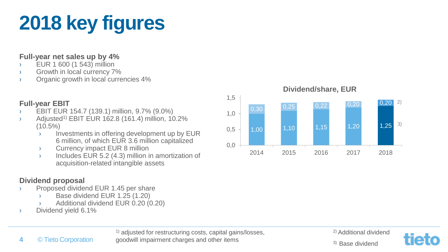## **2018 key figures**

#### **Full-year net sales up by 4%**

- › EUR 1 600 (1 543) million
- › Growth in local currency 7%
- › Organic growth in local currencies 4%

#### **Full-year EBIT**

- › EBIT EUR 154.7 (139.1) million, 9.7% (9.0%)
- $\rightarrow$  Adjusted<sup>1)</sup> EBIT EUR 162.8 (161.4) million, 10.2% (10.5%)
	- $\overline{\mathcal{P}}$  Investments in offering development up by EUR 6 million, of which EUR 3.6 million capitalized
	- › Currency impact EUR 8 million
	- › Includes EUR 5.2 (4.3) million in amortization of acquisition-related intangible assets

#### **Dividend proposal**

**4**

- Proposed dividend EUR 1.45 per share
	- Base dividend EUR 1.25 (1.20)
	- Additional dividend EUR 0.20 (0.20)
- › Dividend yield 6.1%

© Tieto Corporation



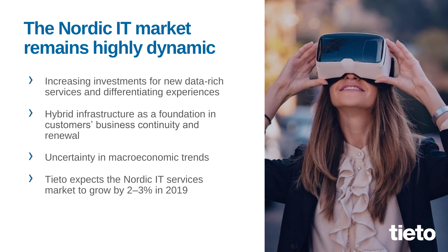### **The Nordic IT market remains highly dynamic**

- › Increasing investments for new data-rich services and differentiating experiences
- Hybrid infrastructure as a foundation in customers' business continuity and renewal
- Uncertainty in macroeconomic trends
- Tieto expects the Nordic IT services market to grow by 2–3% in 2019

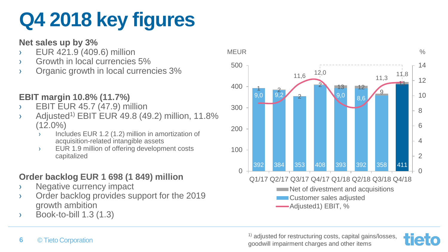### **Q4 2018 key figures**

#### **Net sales up by 3%**

- › EUR 421.9 (409.6) million
- › Growth in local currencies 5%
- Organic growth in local currencies 3%

### **EBIT margin 10.8% (11.7%)**

- › EBIT EUR 45.7 (47.9) million
- $\rightarrow$  Adjusted<sup>1)</sup> EBIT EUR 49.8 (49.2) million, 11.8% (12.0%)
	- Includes EUR 1.2 (1.2) million in amortization of acquisition-related intangible assets
	- › EUR 1.9 million of offering development costs capitalized

### **Order backlog EUR 1 698 (1 849) million**

- › Negative currency impact
- › Order backlog provides support for the 2019 growth ambition
- $\rightarrow$  Book-to-bill 1.3 (1.3)



<sup>1)</sup> adjusted for restructuring costs, capital gains/losses, goodwill impairment charges and other items

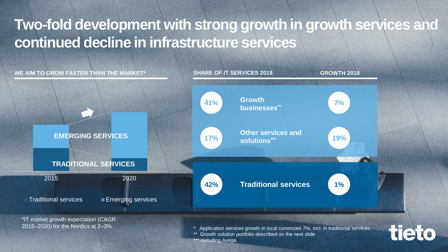### **Two-fold development with strong growth in growth services and continued decline in infrastructure services**



**Including Avega**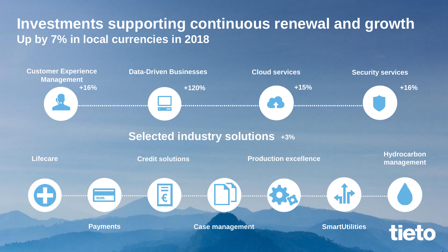### **Investments supporting continuous renewal and growth Up by 7% in local currencies in 2018**

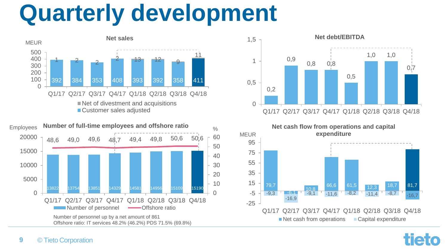# **Quarterly development**









ha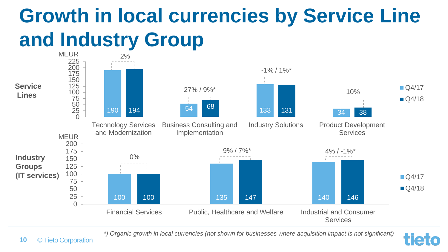### **Growth in local currencies by Service Line and Industry Group**



*\*) Organic growth in local currencies (not shown for businesses where acquisition impact is not significant)*

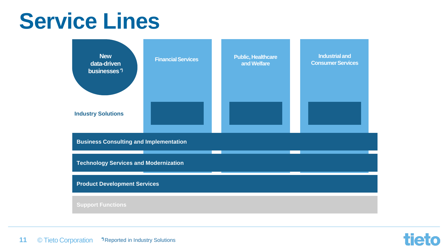### **Service Lines**



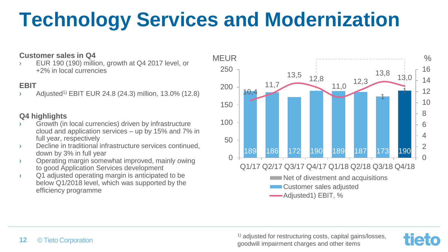### **Technology Services and Modernization**

#### **Customer sales in Q4**

EUR 190 (190) million, growth at  $Q4$  2017 level, or +2% in local currencies

#### **EBIT**

› Adjusted1) EBIT EUR 24.8 (24.3) million, 13.0% (12.8)

#### **Q4 highlights**

- Growth (in local currencies) driven by infrastructure cloud and application services – up by 15% and 7% in full year, respectively
- › Decline in traditional infrastructure services continued, down by 3% in full year
- › Operating margin somewhat improved, mainly owing to good Application Services development
- › Q1 adjusted operating margin is anticipated to be below Q1/2018 level, which was supported by the efficiency programme





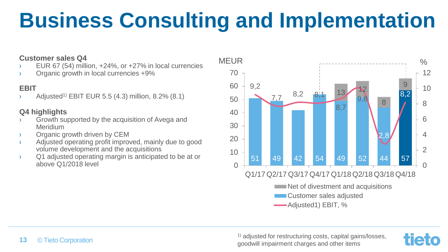### **Business Consulting and Implementation**

#### **Customer sales Q4**

- › EUR 67 (54) million, +24%, or +27% in local currencies
- Organic growth in local currencies +9%

#### **EBIT**

Adjusted<sup>1)</sup> EBIT EUR 5.5 (4.3) million, 8.2% (8.1)

#### **Q4 highlights**

- › Growth supported by the acquisition of Avega and Meridium
- › Organic growth driven by CEM
- › Adjusted operating profit improved, mainly due to good volume development and the acquisitions
- › Q1 adjusted operating margin is anticipated to be at or above Q1/2018 level



<sup>1)</sup> adiusted for restructuring costs, capital gains/losses, goodwill impairment charges and other items

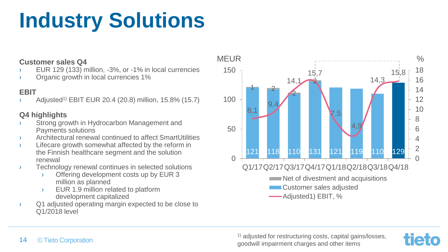### **Industry Solutions**

#### **Customer sales Q4**

- EUR 129 (133) million, -3%, or -1% in local currencies
- Organic growth in local currencies 1%

#### **EBIT**

Adjusted<sup>1)</sup> EBIT EUR 20.4 (20.8) million, 15.8% (15.7)

#### **Q4 highlights**

- › Strong growth in Hydrocarbon Management and Payments solutions
- › Architectural renewal continued to affect SmartUtilities
- › Lifecare growth somewhat affected by the reform in the Finnish healthcare segment and the solution renewal
- › Technology renewal continues in selected solutions
	- › Offering development costs up by EUR 3 million as planned
	- › EUR 1.9 million related to platform development capitalized
- › Q1 adjusted operating margin expected to be close to Q1/2018 level





#### © Tieto Corporation **14**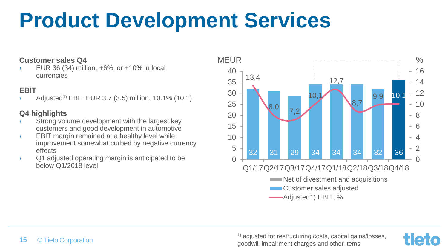### **Product Development Services**

#### **Customer sales Q4**

› EUR 36 (34) million, +6%, or +10% in local currencies

#### **EBIT**

 $\angle$  Adjusted<sup>1)</sup> EBIT EUR 3.7 (3.5) million, 10.1% (10.1)

#### **Q4 highlights**

- › Strong volume development with the largest key customers and good development in automotive
- › EBIT margin remained at a healthy level while improvement somewhat curbed by negative currency effects
- › Q1 adjusted operating margin is anticipated to be below Q1/2018 level



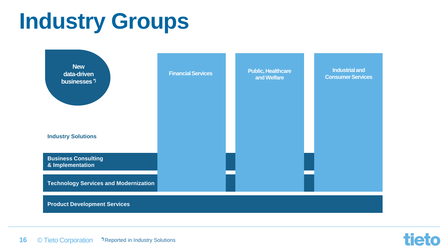## **Industry Groups**



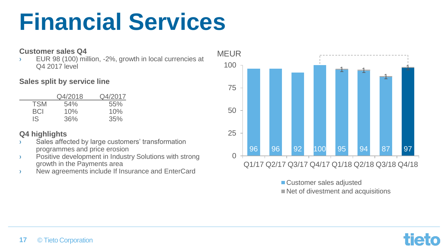## **Financial Services**

#### **Customer sales Q4**

› EUR 98 (100) million, -2%, growth in local currencies at Q4 2017 level

#### **Sales split by service line**

|            | Q4/2018 | Q4/2017 |
|------------|---------|---------|
| <b>TSM</b> | 54%     | 55%     |
| <b>BCI</b> | 10%     | 10%     |
| IS         | 36%     | 35%     |

#### **Q4 highlights**

- › Sales affected by large customers' transformation programmes and price erosion
- › Positive development in Industry Solutions with strong growth in the Payments area
- › New agreements include If Insurance and EnterCard



■ Customer sales adjusted

Net of divestment and acquisitions

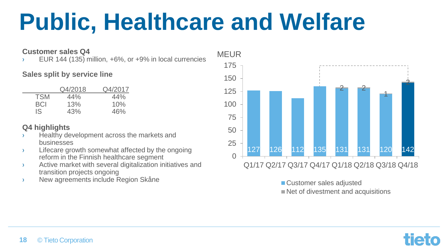# **Public, Healthcare and Welfare**

#### **Customer sales Q4**

EUR 144 (135) million,  $+6\%$ , or  $+9\%$  in local currencies

#### **Sales split by service line**

|            | Q4/2018 | Q4/2017 |
|------------|---------|---------|
| <b>TSM</b> | 44%     | 44%     |
| BCI        | 13%     | 10%     |
| IS         | 43%     | 46%     |

#### **Q4 highlights**

- Healthy development across the markets and businesses
- › Lifecare growth somewhat affected by the ongoing reform in the Finnish healthcare segment
- › Active market with several digitalization initiatives and transition projects ongoing
- › New agreements include Region Skåne



■ Customer sales adjusted

Net of divestment and acquisitions

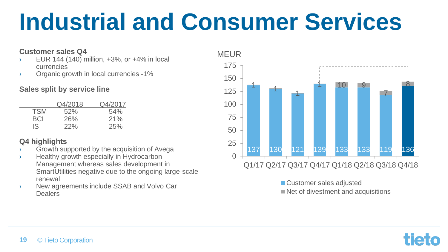# **Industrial and Consumer Services**

#### **Customer sales Q4**

- $\angle$  EUR 144 (140) million,  $+3\%$ , or  $+4\%$  in local currencies
- › Organic growth in local currencies -1%

#### **Sales split by service line**

|            | Q4/2018    | Q4/2017 |
|------------|------------|---------|
| <b>TSM</b> | 52%        | 54%     |
| BCI        | <b>26%</b> | 21%     |
| IS.        | 22%        | 25%     |

#### **Q4 highlights**

- › Growth supported by the acquisition of Avega
- › Healthy growth especially in Hydrocarbon Management whereas sales development in SmartUtilities negative due to the ongoing large-scale renewal
- › New agreements include SSAB and Volvo Car Dealers



■ Customer sales adjusted

Net of divestment and acquisitions

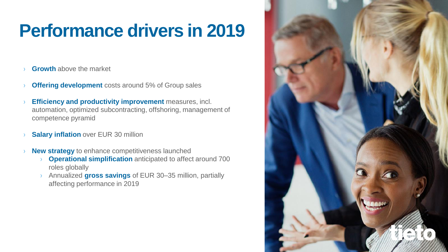### **Performance drivers in 2019**

- **Growth** above the market
- **Offering development** costs around 5% of Group sales
- **Efficiency and productivity improvement** measures, incl. automation, optimized subcontracting, offshoring, management of competence pyramid
- **Salary inflation** over EUR 30 million
- New strategy to enhance competitiveness launched
	- **Operational simplification** anticipated to affect around 700 roles globally
	- › Annualized **gross savings** of EUR 30–35 million, partially affecting performance in 2019

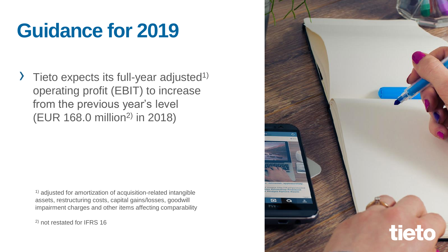### **Guidance for 2019**

 $\sum$  Tieto expects its full-year adjusted<sup>1)</sup> operating profit (EBIT) to increase from the previous year's level (EUR 168.0 million2) in 2018)

1) adjusted for amortization of acquisition-related intangible assets, restructuring costs, capital gains/losses, goodwill impairment charges and other items affecting comparability

2) not restated for IFRS 16

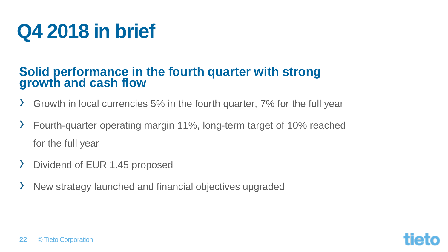### **Q4 2018 in brief**

### **Solid performance in the fourth quarter with strong growth and cash flow**

- › Growth in local currencies 5% in the fourth quarter, 7% for the full year
- › Fourth-quarter operating margin 11%, long-term target of 10% reached for the full year
- › Dividend of EUR 1.45 proposed
- New strategy launched and financial objectives upgraded